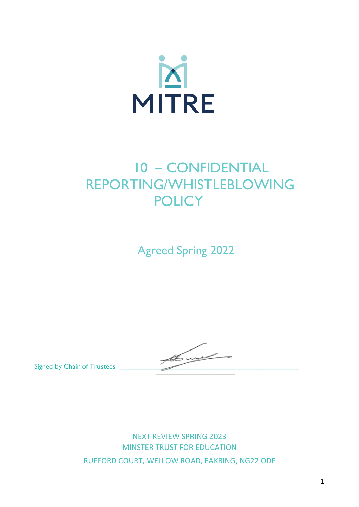

# 10 – CONFIDENTIAL REPORTING/WHISTLEBLOWING **POLICY**

Agreed Spring 2022

Signed by Chair of Trustees

NEXT REVIEW SPRING 2023 MINSTER TRUST FOR EDUCATION RUFFORD COURT, WELLOW ROAD, EAKRING, NG22 ODF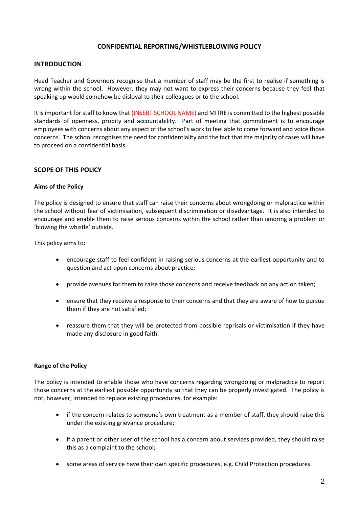## **CONFIDENTIAL REPORTING/WHISTLEBLOWING POLICY**

## **INTRODUCTION**

Head Teacher and Governors recognise that a member of staff may be the first to realise if something is wrong within the school. However, they may not want to express their concerns because they feel that speaking up would somehow be disloyal to their colleagues or to the school.

It is important for staff to know that (INSERT SCHOOL NAME) and MITRE is committed to the highest possible standards of openness, probity and accountability. Part of meeting that commitment is to encourage employees with concerns about any aspect of the school's work to feel able to come forward and voice those concerns. The school recognises the need for confidentiality and the fact that the majority of cases will have to proceed on a confidential basis.

## **SCOPE OF THIS POLICY**

## **Aims of the Policy**

The policy is designed to ensure that staff can raise their concerns about wrongdoing or malpractice within the school without fear of victimisation, subsequent discrimination or disadvantage. It is also intended to encourage and enable them to raise serious concerns within the school rather than ignoring a problem or 'blowing the whistle' outside.

This policy aims to:

- encourage staff to feel confident in raising serious concerns at the earliest opportunity and to question and act upon concerns about practice;
- provide avenues for them to raise those concerns and receive feedback on any action taken;
- ensure that they receive a response to their concerns and that they are aware of how to pursue them if they are not satisfied;
- reassure them that they will be protected from possible reprisals or victimisation if they have made any disclosure in good faith.

## **Range of the Policy**

The policy is intended to enable those who have concerns regarding wrongdoing or malpractice to report those concerns at the earliest possible opportunity so that they can be properly investigated. The policy is not, however, intended to replace existing procedures, for example:

- if the concern relates to someone's own treatment as a member of staff, they should raise this under the existing grievance procedure;
- if a parent or other user of the school has a concern about services provided, they should raise this as a complaint to the school;
- some areas of service have their own specific procedures, e.g. Child Protection procedures.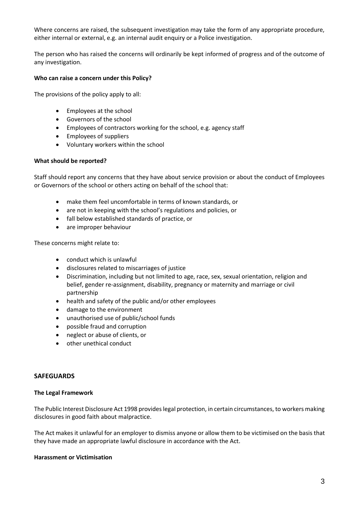Where concerns are raised, the subsequent investigation may take the form of any appropriate procedure, either internal or external, e.g. an internal audit enquiry or a Police investigation.

The person who has raised the concerns will ordinarily be kept informed of progress and of the outcome of any investigation.

## **Who can raise a concern under this Policy?**

The provisions of the policy apply to all:

- Employees at the school
- Governors of the school
- Employees of contractors working for the school, e.g. agency staff
- Employees of suppliers
- Voluntary workers within the school

## **What should be reported?**

Staff should report any concerns that they have about service provision or about the conduct of Employees or Governors of the school or others acting on behalf of the school that:

- make them feel uncomfortable in terms of known standards, or
- are not in keeping with the school's regulations and policies, or
- fall below established standards of practice, or
- are improper behaviour

These concerns might relate to:

- conduct which is unlawful
- disclosures related to miscarriages of justice
- Discrimination, including but not limited to age, race, sex, sexual orientation, religion and belief, gender re-assignment, disability, pregnancy or maternity and marriage or civil partnership
- health and safety of the public and/or other employees
- damage to the environment
- unauthorised use of public/school funds
- possible fraud and corruption
- neglect or abuse of clients, or
- other unethical conduct

## **SAFEGUARDS**

## **The Legal Framework**

The Public Interest Disclosure Act 1998 provides legal protection, in certain circumstances, to workers making disclosures in good faith about malpractice.

The Act makes it unlawful for an employer to dismiss anyone or allow them to be victimised on the basis that they have made an appropriate lawful disclosure in accordance with the Act.

## **Harassment or Victimisation**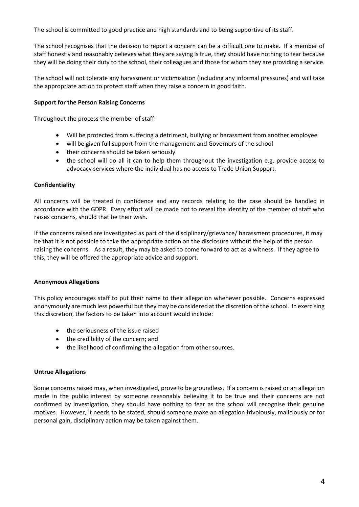The school is committed to good practice and high standards and to being supportive of its staff.

The school recognises that the decision to report a concern can be a difficult one to make. If a member of staff honestly and reasonably believes what they are saying is true, they should have nothing to fear because they will be doing their duty to the school, their colleagues and those for whom they are providing a service.

The school will not tolerate any harassment or victimisation (including any informal pressures) and will take the appropriate action to protect staff when they raise a concern in good faith.

## **Support for the Person Raising Concerns**

Throughout the process the member of staff:

- Will be protected from suffering a detriment, bullying or harassment from another employee
- will be given full support from the management and Governors of the school
- their concerns should be taken seriously
- the school will do all it can to help them throughout the investigation e.g. provide access to advocacy services where the individual has no access to Trade Union Support.

## **Confidentiality**

All concerns will be treated in confidence and any records relating to the case should be handled in accordance with the GDPR. Every effort will be made not to reveal the identity of the member of staff who raises concerns, should that be their wish.

If the concerns raised are investigated as part of the disciplinary/grievance/ harassment procedures, it may be that it is not possible to take the appropriate action on the disclosure without the help of the person raising the concerns. As a result, they may be asked to come forward to act as a witness. If they agree to this, they will be offered the appropriate advice and support.

## **Anonymous Allegations**

This policy encourages staff to put their name to their allegation whenever possible. Concerns expressed anonymously are much less powerful but they may be considered at the discretion of the school. In exercising this discretion, the factors to be taken into account would include:

- the seriousness of the issue raised
- the credibility of the concern; and
- the likelihood of confirming the allegation from other sources.

## **Untrue Allegations**

Some concerns raised may, when investigated, prove to be groundless. If a concern is raised or an allegation made in the public interest by someone reasonably believing it to be true and their concerns are not confirmed by investigation, they should have nothing to fear as the school will recognise their genuine motives. However, it needs to be stated, should someone make an allegation frivolously, maliciously or for personal gain, disciplinary action may be taken against them.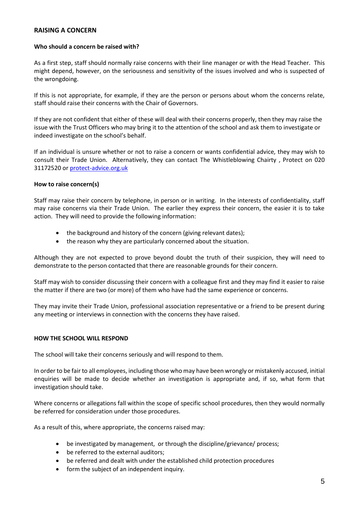## **RAISING A CONCERN**

## **Who should a concern be raised with?**

As a first step, staff should normally raise concerns with their line manager or with the Head Teacher. This might depend, however, on the seriousness and sensitivity of the issues involved and who is suspected of the wrongdoing.

If this is not appropriate, for example, if they are the person or persons about whom the concerns relate, staff should raise their concerns with the Chair of Governors.

If they are not confident that either of these will deal with their concerns properly, then they may raise the issue with the Trust Officers who may bring it to the attention of the school and ask them to investigate or indeed investigate on the school's behalf.

If an individual is unsure whether or not to raise a concern or wants confidential advice*,* they may wish to consult their Trade Union. Alternatively, they can contact The Whistleblowing Chairty , Protect on 020 31172520 or protect-advice.org.uk

## **How to raise concern(s)**

Staff may raise their concern by telephone, in person or in writing. In the interests of confidentiality, staff may raise concerns via their Trade Union. The earlier they express their concern, the easier it is to take action. They will need to provide the following information:

- the background and history of the concern (giving relevant dates);
- the reason why they are particularly concerned about the situation.

Although they are not expected to prove beyond doubt the truth of their suspicion, they will need to demonstrate to the person contacted that there are reasonable grounds for their concern.

Staff may wish to consider discussing their concern with a colleague first and they may find it easier to raise the matter if there are two (or more) of them who have had the same experience or concerns.

They may invite their Trade Union, professional association representative or a friend to be present during any meeting or interviews in connection with the concerns they have raised.

## **HOW THE SCHOOL WILL RESPOND**

The school will take their concerns seriously and will respond to them.

In order to be fair to all employees, including those who may have been wrongly or mistakenly accused, initial enquiries will be made to decide whether an investigation is appropriate and, if so, what form that investigation should take.

Where concerns or allegations fall within the scope of specific school procedures, then they would normally be referred for consideration under those procedures.

As a result of this, where appropriate, the concerns raised may:

- be investigated by management, or through the discipline/grievance/ process;
- be referred to the external auditors;
- be referred and dealt with under the established child protection procedures
- form the subject of an independent inquiry.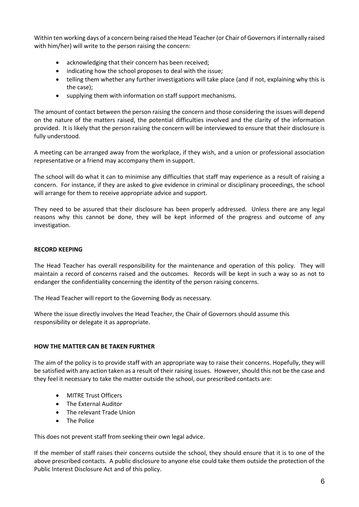Within ten working days of a concern being raised the Head Teacher (or Chair of Governors if internally raised with him/her) will write to the person raising the concern:

- acknowledging that their concern has been received;
- indicating how the school proposes to deal with the issue;
- telling them whether any further investigations will take place (and if not, explaining why this is the case);
- supplying them with information on staff support mechanisms.

The amount of contact between the person raising the concern and those considering the issues will depend on the nature of the matters raised, the potential difficulties involved and the clarity of the information provided. It is likely that the person raising the concern will be interviewed to ensure that their disclosure is fully understood.

A meeting can be arranged away from the workplace, if they wish, and a union or professional association representative or a friend may accompany them in support.

The school will do what it can to minimise any difficulties that staff may experience as a result of raising a concern. For instance, if they are asked to give evidence in criminal or disciplinary proceedings, the school will arrange for them to receive appropriate advice and support.

They need to be assured that their disclosure has been properly addressed. Unless there are any legal reasons why this cannot be done, they will be kept informed of the progress and outcome of any investigation.

## **RECORD KEEPING**

The Head Teacher has overall responsibility for the maintenance and operation of this policy. They will maintain a record of concerns raised and the outcomes. Records will be kept in such a way so as not to endanger the confidentiality concerning the identity of the person raising concerns.

The Head Teacher will report to the Governing Body as necessary.

Where the issue directly involves the Head Teacher, the Chair of Governors should assume this responsibility or delegate it as appropriate.

## **HOW THE MATTER CAN BE TAKEN FURTHER**

The aim of the policy is to provide staff with an appropriate way to raise their concerns. Hopefully, they will be satisfied with any action taken as a result of their raising issues. However, should this not be the case and they feel it necessary to take the matter outside the school, our prescribed contacts are:

- MITRE Trust Officers
- The External Auditor
- The relevant Trade Union
- The Police

This does not prevent staff from seeking their own legal advice.

If the member of staff raises their concerns outside the school, they should ensure that it is to one of the above prescribed contacts. A public disclosure to anyone else could take them outside the protection of the Public Interest Disclosure Act and of this policy.